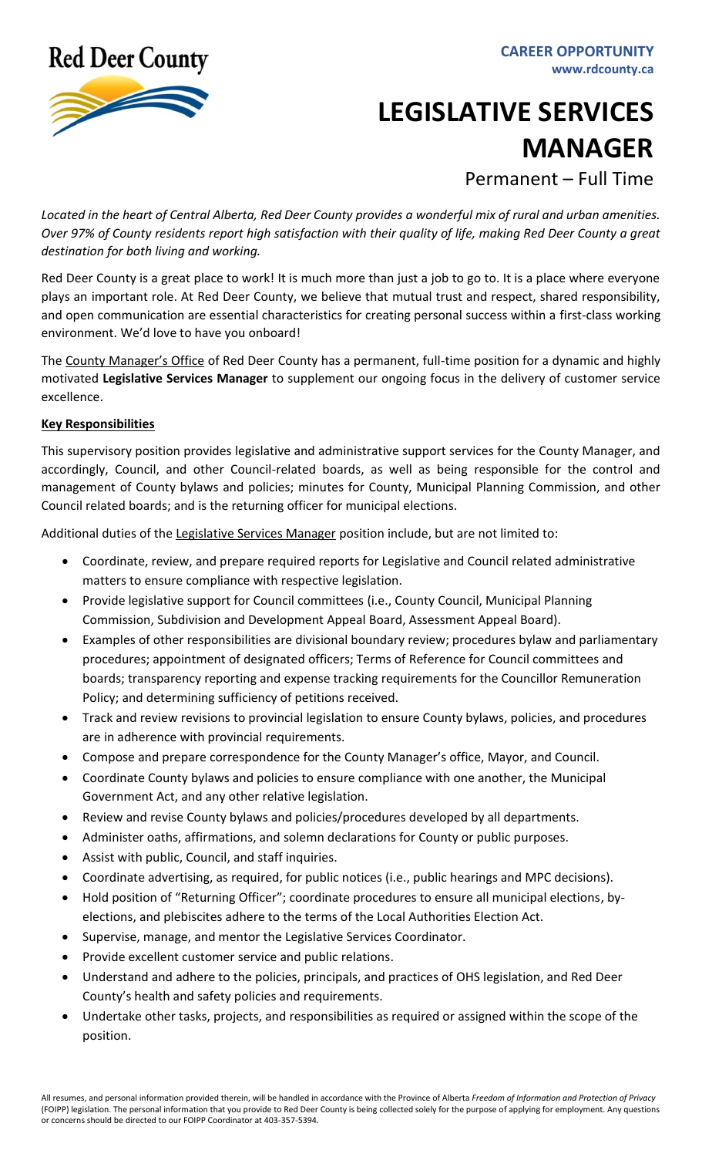**Red Deer County** 



## **LEGISLATIVE SERVICES MANAGER**

Permanent – Full Time

*Located in the heart of Central Alberta, Red Deer County provides a wonderful mix of rural and urban amenities. Over 97% of County residents report high satisfaction with their quality of life, making Red Deer County a great destination for both living and working.*

Red Deer County is a great place to work! It is much more than just a job to go to. It is a place where everyone plays an important role. At Red Deer County, we believe that mutual trust and respect, shared responsibility, and open communication are essential characteristics for creating personal success within a first-class working environment. We'd love to have you onboard!

The County Manager's Office of Red Deer County has a permanent, full-time position for a dynamic and highly motivated **Legislative Services Manager** to supplement our ongoing focus in the delivery of customer service excellence.

## **Key Responsibilities**

This supervisory position provides legislative and administrative support services for the County Manager, and accordingly, Council, and other Council-related boards, as well as being responsible for the control and management of County bylaws and policies; minutes for County, Municipal Planning Commission, and other Council related boards; and is the returning officer for municipal elections.

Additional duties of the Legislative Services Manager position include, but are not limited to:

- Coordinate, review, and prepare required reports for Legislative and Council related administrative matters to ensure compliance with respective legislation.
- Provide legislative support for Council committees (i.e., County Council, Municipal Planning Commission, Subdivision and Development Appeal Board, Assessment Appeal Board).
- Examples of other responsibilities are divisional boundary review; procedures bylaw and parliamentary procedures; appointment of designated officers; Terms of Reference for Council committees and boards; transparency reporting and expense tracking requirements for the Councillor Remuneration Policy; and determining sufficiency of petitions received.
- Track and review revisions to provincial legislation to ensure County bylaws, policies, and procedures are in adherence with provincial requirements.
- Compose and prepare correspondence for the County Manager's office, Mayor, and Council.
- Coordinate County bylaws and policies to ensure compliance with one another, the Municipal Government Act, and any other relative legislation.
- Review and revise County bylaws and policies/procedures developed by all departments.
- Administer oaths, affirmations, and solemn declarations for County or public purposes.
- Assist with public, Council, and staff inquiries.
- Coordinate advertising, as required, for public notices (i.e., public hearings and MPC decisions).
- Hold position of "Returning Officer"; coordinate procedures to ensure all municipal elections, byelections, and plebiscites adhere to the terms of the Local Authorities Election Act.
- Supervise, manage, and mentor the Legislative Services Coordinator.
- Provide excellent customer service and public relations.
- Understand and adhere to the policies, principals, and practices of OHS legislation, and Red Deer County's health and safety policies and requirements.
- Undertake other tasks, projects, and responsibilities as required or assigned within the scope of the position.